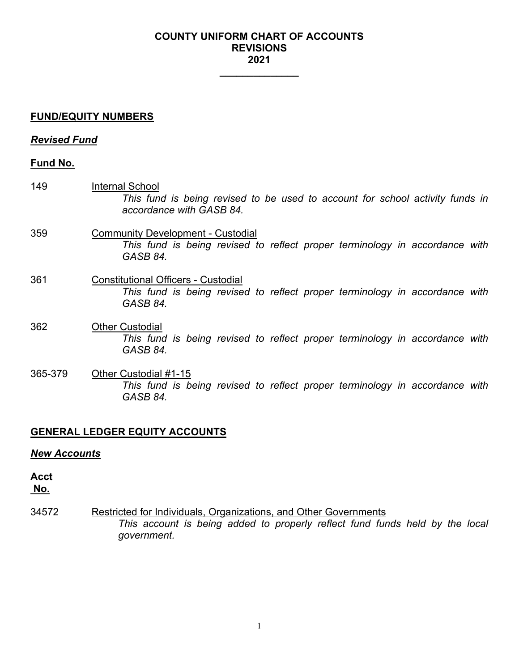### **COUNTY UNIFORM CHART OF ACCOUNTS REVISIONS 2021**

**\_\_\_\_\_\_\_\_\_\_\_\_\_\_**

### **FUND/EQUITY NUMBERS**

### *Revised Fund*

## **Fund No.**

- 149 Internal School *This fund is being revised to be used to account for school activity funds in accordance with GASB 84.* 359 Community Development - Custodial *This fund is being revised to reflect proper terminology in accordance with*
- 361 Constitutional Officers Custodial *This fund is being revised to reflect proper terminology in accordance with GASB 84.*
- 362 Other Custodial *This fund is being revised to reflect proper terminology in accordance with GASB 84.*
- 365-379 Other Custodial #1-15 *This fund is being revised to reflect proper terminology in accordance with GASB 84.*

# **GENERAL LEDGER EQUITY ACCOUNTS**

*GASB 84.*

### *New Accounts*

# **Acct**

**No.**

34572 Restricted for Individuals, Organizations, and Other Governments *This account is being added to properly reflect fund funds held by the local government.*